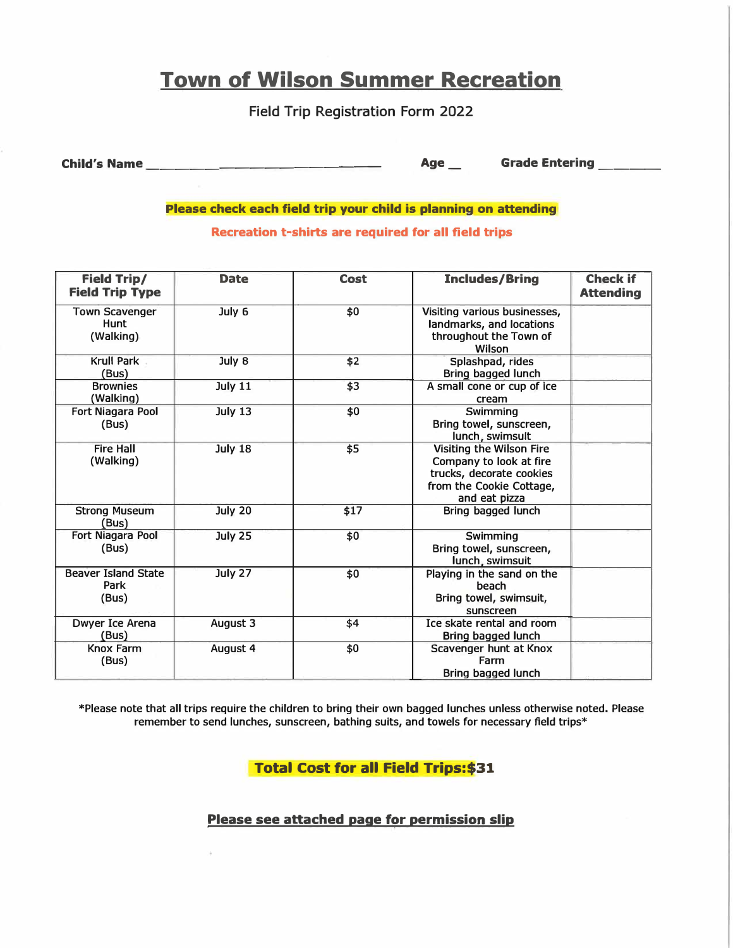## **Town of Wilson Summer Recreation**

Field Trip Registration Form 2022

**Child's Name \_\_\_\_\_\_\_\_\_\_\_\_\_\_\_ \_ Age\_ Grade Entering \_\_\_ \_** 

**Please check each field trip your child is planning on attending** 

**Recreation t-shirts are required for all field trips** 

| <b>Field Trip/</b><br><b>Field Trip Type</b>      | <b>Date</b>    | <b>Cost</b> | <b>Includes/Bring</b>                                                                                                               | <b>Check if</b><br><b>Attending</b> |
|---------------------------------------------------|----------------|-------------|-------------------------------------------------------------------------------------------------------------------------------------|-------------------------------------|
| <b>Town Scavenger</b><br><b>Hunt</b><br>(Walking) | July 6         | \$0         | Visiting various businesses,<br>landmarks, and locations<br>throughout the Town of<br>Wilson                                        |                                     |
| Krull Park<br>(Bus)                               | July 8         | \$2         | Splashpad, rides<br>Bring bagged lunch                                                                                              |                                     |
| <b>Brownies</b><br>(Walking)                      | July 11        | \$3         | A small cone or cup of ice<br>cream                                                                                                 |                                     |
| <b>Fort Niagara Pool</b><br>(Bus)                 | <b>July 13</b> | \$0         | Swimming<br>Bring towel, sunscreen,<br>lunch, swimsult                                                                              |                                     |
| <b>Fire Hall</b><br>(Walking)                     | <b>July 18</b> | \$5         | <b>Visiting the Wilson Fire</b><br>Company to look at fire<br>trucks, decorate cookies<br>from the Cookie Cottage,<br>and eat pizza |                                     |
| <b>Strong Museum</b><br>(Bus)                     | July 20        | \$17        | Bring bagged lunch                                                                                                                  |                                     |
| Fort Niagara Pool<br>(Bus)                        | July 25        | \$0         | Swimming<br>Bring towel, sunscreen,<br>lunch, swimsuit                                                                              |                                     |
| <b>Beaver Island State</b><br>Park<br>(Bus)       | July 27        | \$0         | Playing in the sand on the<br>beach<br>Bring towel, swimsuit,<br>sunscreen                                                          |                                     |
| <b>Dwyer Ice Arena</b><br>(Bus)                   | August 3       | \$4         | Ice skate rental and room<br>Bring bagged lunch                                                                                     |                                     |
| <b>Knox Farm</b><br>(Bus)                         | August 4       | \$0         | Scavenger hunt at Knox<br>Farm<br>Bring bagged lunch                                                                                |                                     |

\*Please note that all trips require the children to bring their own bagged lunches unless otherwise noted. Please remember to send lunches, sunscreen, bathing suits, and towels for necessary field trips\*

**Total Cost for all Field Trips:\$31** 

**Please see attached page for permission slip**